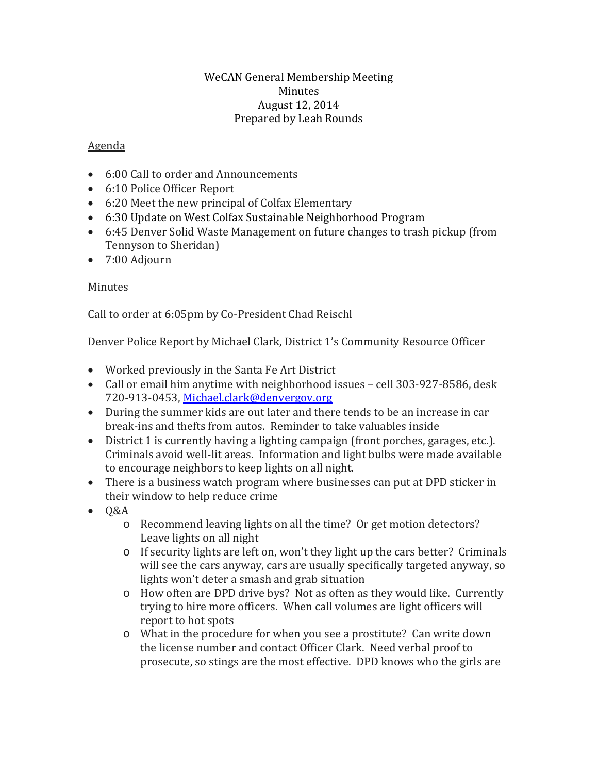## WeCAN General Membership Meeting Minutes August 12, 2014 Prepared by Leah Rounds

## Agenda

- 6:00 Call to order and Announcements
- 6:10 Police Officer Report
- 6:20 Meet the new principal of Colfax Elementary
- 6:30 Update on West Colfax Sustainable Neighborhood Program
- 6:45 Denver Solid Waste Management on future changes to trash pickup (from Tennyson to Sheridan)
- 7:00 Adjourn

## Minutes

Call to order at 6:05pm by Co-President Chad Reischl

Denver Police Report by Michael Clark, District 1's Community Resource Officer

- Worked previously in the Santa Fe Art District
- Call or email him anytime with neighborhood issues cell 303-927-8586, desk 720-913-0453, [Michael.clark@denvergov.org](mailto:Michael.clark@denvergov.org)
- During the summer kids are out later and there tends to be an increase in car break-ins and thefts from autos. Reminder to take valuables inside
- District 1 is currently having a lighting campaign (front porches, garages, etc.). Criminals avoid well-lit areas. Information and light bulbs were made available to encourage neighbors to keep lights on all night.
- There is a business watch program where businesses can put at DPD sticker in their window to help reduce crime
- Q&A
	- o Recommend leaving lights on all the time? Or get motion detectors? Leave lights on all night
	- o If security lights are left on, won't they light up the cars better? Criminals will see the cars anyway, cars are usually specifically targeted anyway, so lights won't deter a smash and grab situation
	- o How often are DPD drive bys? Not as often as they would like. Currently trying to hire more officers. When call volumes are light officers will report to hot spots
	- o What in the procedure for when you see a prostitute? Can write down the license number and contact Officer Clark. Need verbal proof to prosecute, so stings are the most effective. DPD knows who the girls are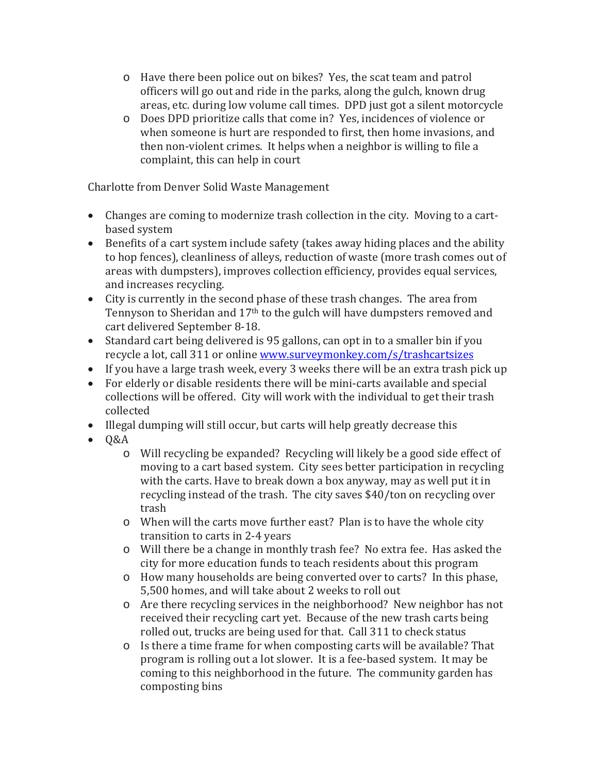- o Have there been police out on bikes? Yes, the scat team and patrol officers will go out and ride in the parks, along the gulch, known drug areas, etc. during low volume call times. DPD just got a silent motorcycle
- o Does DPD prioritize calls that come in? Yes, incidences of violence or when someone is hurt are responded to first, then home invasions, and then non-violent crimes. It helps when a neighbor is willing to file a complaint, this can help in court

Charlotte from Denver Solid Waste Management

- Changes are coming to modernize trash collection in the city. Moving to a cartbased system
- Benefits of a cart system include safety (takes away hiding places and the ability to hop fences), cleanliness of alleys, reduction of waste (more trash comes out of areas with dumpsters), improves collection efficiency, provides equal services, and increases recycling.
- City is currently in the second phase of these trash changes. The area from Tennyson to Sheridan and 17th to the gulch will have dumpsters removed and cart delivered September 8-18.
- Standard cart being delivered is 95 gallons, can opt in to a smaller bin if you recycle a lot, call 311 or online [www.surveymonkey.com/s/trashcartsizes](http://www.surveymonkey.com/s/trashcartsizes)
- If you have a large trash week, every 3 weeks there will be an extra trash pick up
- For elderly or disable residents there will be mini-carts available and special collections will be offered. City will work with the individual to get their trash collected
- Illegal dumping will still occur, but carts will help greatly decrease this
- Q&A
	- o Will recycling be expanded? Recycling will likely be a good side effect of moving to a cart based system. City sees better participation in recycling with the carts. Have to break down a box anyway, may as well put it in recycling instead of the trash. The city saves \$40/ton on recycling over trash
	- o When will the carts move further east? Plan is to have the whole city transition to carts in 2-4 years
	- o Will there be a change in monthly trash fee? No extra fee. Has asked the city for more education funds to teach residents about this program
	- o How many households are being converted over to carts? In this phase, 5,500 homes, and will take about 2 weeks to roll out
	- o Are there recycling services in the neighborhood? New neighbor has not received their recycling cart yet. Because of the new trash carts being rolled out, trucks are being used for that. Call 311 to check status
	- o Is there a time frame for when composting carts will be available? That program is rolling out a lot slower. It is a fee-based system. It may be coming to this neighborhood in the future. The community garden has composting bins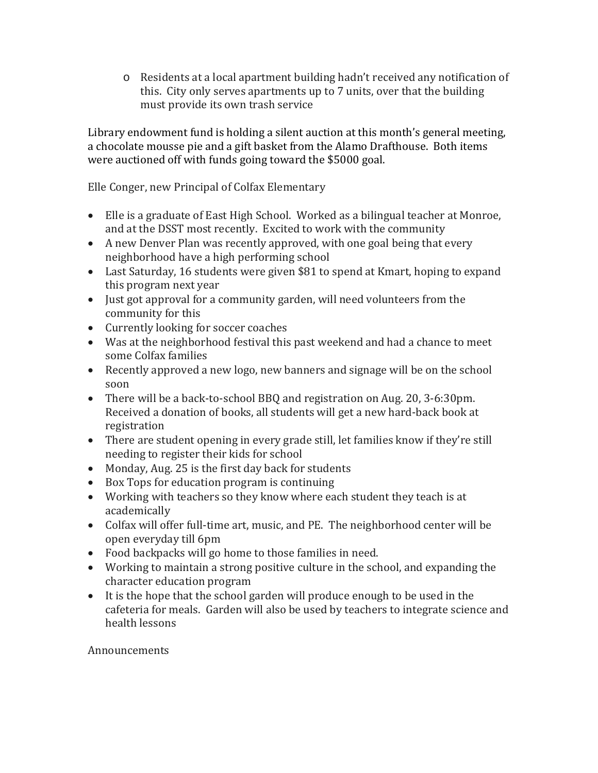o Residents at a local apartment building hadn't received any notification of this. City only serves apartments up to 7 units, over that the building must provide its own trash service

Library endowment fund is holding a silent auction at this month's general meeting, a chocolate mousse pie and a gift basket from the Alamo Drafthouse. Both items were auctioned off with funds going toward the \$5000 goal.

Elle Conger, new Principal of Colfax Elementary

- Elle is a graduate of East High School. Worked as a bilingual teacher at Monroe, and at the DSST most recently. Excited to work with the community
- A new Denver Plan was recently approved, with one goal being that every neighborhood have a high performing school
- Last Saturday, 16 students were given \$81 to spend at Kmart, hoping to expand this program next year
- Just got approval for a community garden, will need volunteers from the community for this
- Currently looking for soccer coaches
- Was at the neighborhood festival this past weekend and had a chance to meet some Colfax families
- Recently approved a new logo, new banners and signage will be on the school soon
- There will be a back-to-school BBQ and registration on Aug. 20, 3-6:30pm. Received a donation of books, all students will get a new hard-back book at registration
- There are student opening in every grade still, let families know if they're still needing to register their kids for school
- Monday, Aug. 25 is the first day back for students
- Box Tops for education program is continuing
- Working with teachers so they know where each student they teach is at academically
- Colfax will offer full-time art, music, and PE. The neighborhood center will be open everyday till 6pm
- Food backpacks will go home to those families in need.
- Working to maintain a strong positive culture in the school, and expanding the character education program
- It is the hope that the school garden will produce enough to be used in the cafeteria for meals. Garden will also be used by teachers to integrate science and health lessons

## Announcements